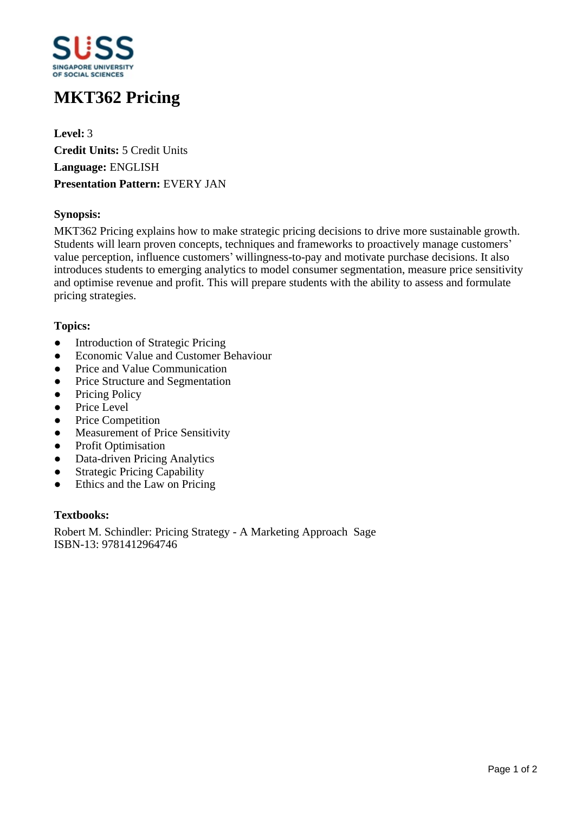

# **MKT362 Pricing**

**Level:** 3 **Credit Units:** 5 Credit Units **Language:** ENGLISH **Presentation Pattern:** EVERY JAN

# **Synopsis:**

MKT362 Pricing explains how to make strategic pricing decisions to drive more sustainable growth. Students will learn proven concepts, techniques and frameworks to proactively manage customers' value perception, influence customers' willingness-to-pay and motivate purchase decisions. It also introduces students to emerging analytics to model consumer segmentation, measure price sensitivity and optimise revenue and profit. This will prepare students with the ability to assess and formulate pricing strategies.

# **Topics:**

- Introduction of Strategic Pricing
- Economic Value and Customer Behaviour
- Price and Value Communication
- Price Structure and Segmentation
- Pricing Policy
- Price Level
- Price Competition
- Measurement of Price Sensitivity
- Profit Optimisation
- Data-driven Pricing Analytics
- Strategic Pricing Capability
- Ethics and the Law on Pricing

#### **Textbooks:**

Robert M. Schindler: Pricing Strategy - A Marketing Approach Sage ISBN-13: 9781412964746